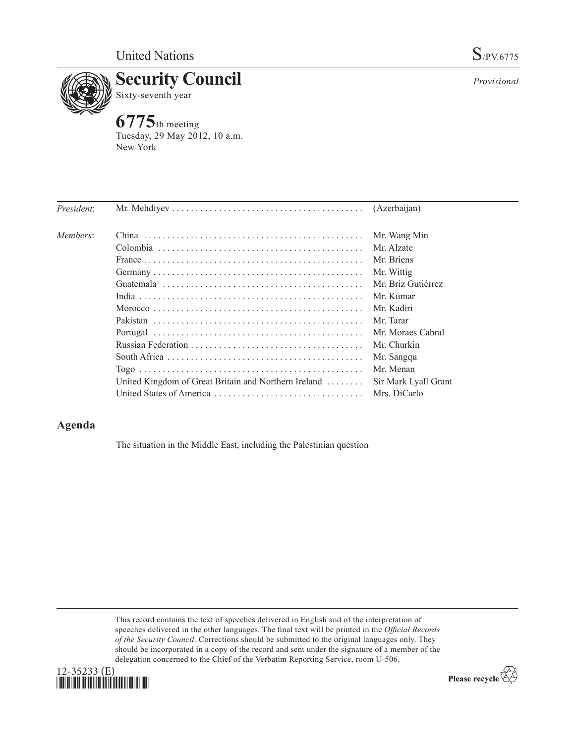

*Provisional*

**6775**th meeting Tuesday, 29 May 2012, 10 a.m. New York

| China $\cdots$                                                     | Mr. Wang Min         |
|--------------------------------------------------------------------|----------------------|
|                                                                    | Mr. Alzate           |
|                                                                    | Mr. Briens           |
|                                                                    | Mr. Wittig           |
|                                                                    | Mr. Briz Gutiérrez   |
|                                                                    | Mr. Kumar            |
|                                                                    | Mr. Kadiri           |
|                                                                    | Mr. Tarar            |
|                                                                    | Mr. Moraes Cabral    |
|                                                                    | Mr. Churkin          |
|                                                                    | Mr. Sangqu           |
|                                                                    | Mr. Menan            |
| United Kingdom of Great Britain and Northern Ireland $\dots \dots$ | Sir Mark Lyall Grant |
|                                                                    | Mrs. DiCarlo         |
|                                                                    |                      |

## **Agenda**

The situation in the Middle East, including the Palestinian question

This record contains the text of speeches delivered in English and of the interpretation of speeches delivered in the other languages. The final text will be printed in the *Official Records of the Security Council*. Corrections should be submitted to the original languages only. They should be incorporated in a copy of the record and sent under the signature of a member of the delegation concerned to the Chief of the Verbatim Reporting Service, room U-506.



Please recycle  $\overleftrightarrow{C}$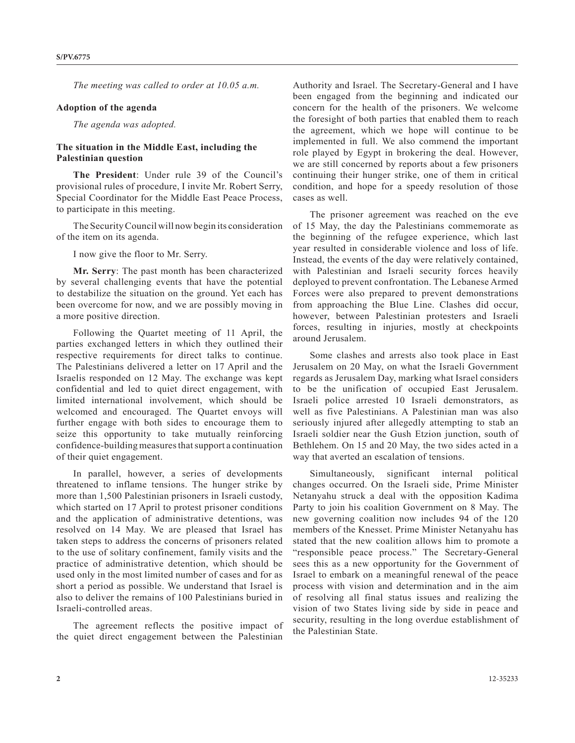*The meeting was called to order at 10.05 a.m.* 

## **Adoption of the agenda**

*The agenda was adopted.* 

## **The situation in the Middle East, including the Palestinian question**

**The President**: Under rule 39 of the Council's provisional rules of procedure, I invite Mr. Robert Serry, Special Coordinator for the Middle East Peace Process, to participate in this meeting.

The Security Council will now begin its consideration of the item on its agenda.

I now give the floor to Mr. Serry.

**Mr. Serry**: The past month has been characterized by several challenging events that have the potential to destabilize the situation on the ground. Yet each has been overcome for now, and we are possibly moving in a more positive direction.

Following the Quartet meeting of 11 April, the parties exchanged letters in which they outlined their respective requirements for direct talks to continue. The Palestinians delivered a letter on 17 April and the Israelis responded on 12 May. The exchange was kept confidential and led to quiet direct engagement, with limited international involvement, which should be welcomed and encouraged. The Quartet envoys will further engage with both sides to encourage them to seize this opportunity to take mutually reinforcing confidence-building measures that support a continuation of their quiet engagement.

In parallel, however, a series of developments threatened to inflame tensions. The hunger strike by more than 1,500 Palestinian prisoners in Israeli custody, which started on 17 April to protest prisoner conditions and the application of administrative detentions, was resolved on 14 May. We are pleased that Israel has taken steps to address the concerns of prisoners related to the use of solitary confinement, family visits and the practice of administrative detention, which should be used only in the most limited number of cases and for as short a period as possible. We understand that Israel is also to deliver the remains of 100 Palestinians buried in Israeli-controlled areas.

The agreement reflects the positive impact of the quiet direct engagement between the Palestinian

Authority and Israel. The Secretary-General and I have been engaged from the beginning and indicated our concern for the health of the prisoners. We welcome the foresight of both parties that enabled them to reach the agreement, which we hope will continue to be implemented in full. We also commend the important role played by Egypt in brokering the deal. However, we are still concerned by reports about a few prisoners continuing their hunger strike, one of them in critical condition, and hope for a speedy resolution of those cases as well.

The prisoner agreement was reached on the eve of 15 May, the day the Palestinians commemorate as the beginning of the refugee experience, which last year resulted in considerable violence and loss of life. Instead, the events of the day were relatively contained, with Palestinian and Israeli security forces heavily deployed to prevent confrontation. The Lebanese Armed Forces were also prepared to prevent demonstrations from approaching the Blue Line. Clashes did occur, however, between Palestinian protesters and Israeli forces, resulting in injuries, mostly at checkpoints around Jerusalem.

Some clashes and arrests also took place in East Jerusalem on 20 May, on what the Israeli Government regards as Jerusalem Day, marking what Israel considers to be the unification of occupied East Jerusalem. Israeli police arrested 10 Israeli demonstrators, as well as five Palestinians. A Palestinian man was also seriously injured after allegedly attempting to stab an Israeli soldier near the Gush Etzion junction, south of Bethlehem. On 15 and 20 May, the two sides acted in a way that averted an escalation of tensions.

Simultaneously, significant internal political changes occurred. On the Israeli side, Prime Minister Netanyahu struck a deal with the opposition Kadima Party to join his coalition Government on 8 May. The new governing coalition now includes 94 of the 120 members of the Knesset. Prime Minister Netanyahu has stated that the new coalition allows him to promote a "responsible peace process." The Secretary-General sees this as a new opportunity for the Government of Israel to embark on a meaningful renewal of the peace process with vision and determination and in the aim of resolving all final status issues and realizing the vision of two States living side by side in peace and security, resulting in the long overdue establishment of the Palestinian State.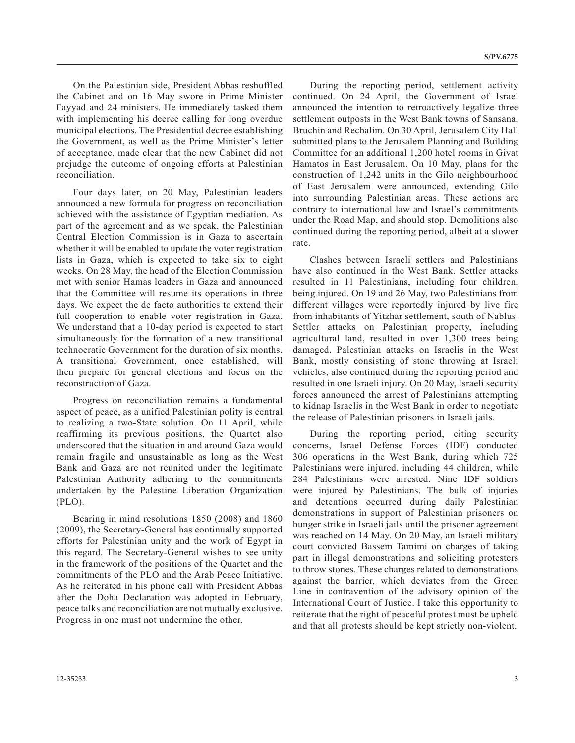On the Palestinian side, President Abbas reshuffled the Cabinet and on 16 May swore in Prime Minister Fayyad and 24 ministers. He immediately tasked them with implementing his decree calling for long overdue municipal elections. The Presidential decree establishing the Government, as well as the Prime Minister's letter of acceptance, made clear that the new Cabinet did not prejudge the outcome of ongoing efforts at Palestinian reconciliation.

Four days later, on 20 May, Palestinian leaders announced a new formula for progress on reconciliation achieved with the assistance of Egyptian mediation. As part of the agreement and as we speak, the Palestinian Central Election Commission is in Gaza to ascertain whether it will be enabled to update the voter registration lists in Gaza, which is expected to take six to eight weeks. On 28 May, the head of the Election Commission met with senior Hamas leaders in Gaza and announced that the Committee will resume its operations in three days. We expect the de facto authorities to extend their full cooperation to enable voter registration in Gaza. We understand that a 10-day period is expected to start simultaneously for the formation of a new transitional technocratic Government for the duration of six months. A transitional Government, once established, will then prepare for general elections and focus on the reconstruction of Gaza.

Progress on reconciliation remains a fundamental aspect of peace, as a unified Palestinian polity is central to realizing a two-State solution. On 11 April, while reaffirming its previous positions, the Quartet also underscored that the situation in and around Gaza would remain fragile and unsustainable as long as the West Bank and Gaza are not reunited under the legitimate Palestinian Authority adhering to the commitments undertaken by the Palestine Liberation Organization (PLO).

Bearing in mind resolutions 1850 (2008) and 1860 (2009), the Secretary-General has continually supported efforts for Palestinian unity and the work of Egypt in this regard. The Secretary-General wishes to see unity in the framework of the positions of the Quartet and the commitments of the PLO and the Arab Peace Initiative. As he reiterated in his phone call with President Abbas after the Doha Declaration was adopted in February, peace talks and reconciliation are not mutually exclusive. Progress in one must not undermine the other.

During the reporting period, settlement activity continued. On 24 April, the Government of Israel announced the intention to retroactively legalize three settlement outposts in the West Bank towns of Sansana, Bruchin and Rechalim. On 30 April, Jerusalem City Hall submitted plans to the Jerusalem Planning and Building Committee for an additional 1,200 hotel rooms in Givat Hamatos in East Jerusalem. On 10 May, plans for the construction of 1,242 units in the Gilo neighbourhood of East Jerusalem were announced, extending Gilo into surrounding Palestinian areas. These actions are contrary to international law and Israel's commitments under the Road Map, and should stop. Demolitions also continued during the reporting period, albeit at a slower rate.

Clashes between Israeli settlers and Palestinians have also continued in the West Bank. Settler attacks resulted in 11 Palestinians, including four children, being injured. On 19 and 26 May, two Palestinians from different villages were reportedly injured by live fire from inhabitants of Yitzhar settlement, south of Nablus. Settler attacks on Palestinian property, including agricultural land, resulted in over 1,300 trees being damaged. Palestinian attacks on Israelis in the West Bank, mostly consisting of stone throwing at Israeli vehicles, also continued during the reporting period and resulted in one Israeli injury. On 20 May, Israeli security forces announced the arrest of Palestinians attempting to kidnap Israelis in the West Bank in order to negotiate the release of Palestinian prisoners in Israeli jails.

During the reporting period, citing security concerns, Israel Defense Forces (IDF) conducted 306 operations in the West Bank, during which 725 Palestinians were injured, including 44 children, while 284 Palestinians were arrested. Nine IDF soldiers were injured by Palestinians. The bulk of injuries and detentions occurred during daily Palestinian demonstrations in support of Palestinian prisoners on hunger strike in Israeli jails until the prisoner agreement was reached on 14 May. On 20 May, an Israeli military court convicted Bassem Tamimi on charges of taking part in illegal demonstrations and soliciting protesters to throw stones. These charges related to demonstrations against the barrier, which deviates from the Green Line in contravention of the advisory opinion of the International Court of Justice. I take this opportunity to reiterate that the right of peaceful protest must be upheld and that all protests should be kept strictly non-violent.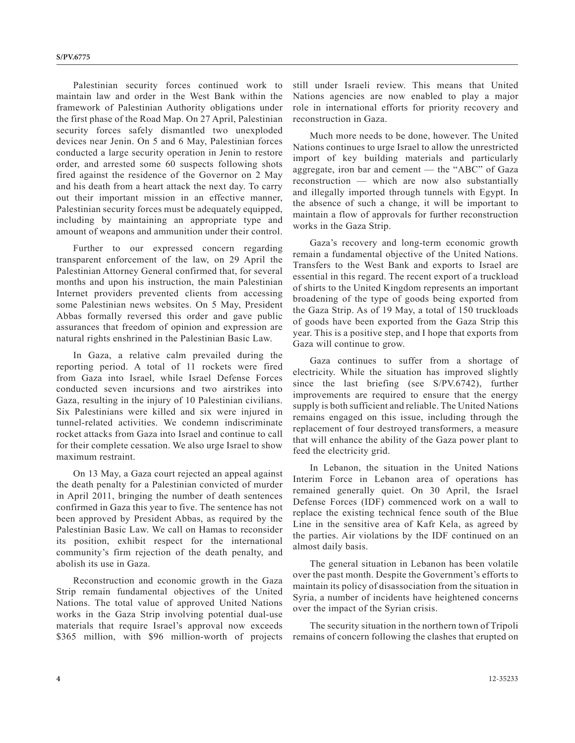Palestinian security forces continued work to maintain law and order in the West Bank within the framework of Palestinian Authority obligations under the first phase of the Road Map. On 27 April, Palestinian security forces safely dismantled two unexploded devices near Jenin. On 5 and 6 May, Palestinian forces conducted a large security operation in Jenin to restore order, and arrested some 60 suspects following shots fired against the residence of the Governor on 2 May and his death from a heart attack the next day. To carry out their important mission in an effective manner, Palestinian security forces must be adequately equipped, including by maintaining an appropriate type and amount of weapons and ammunition under their control.

Further to our expressed concern regarding transparent enforcement of the law, on 29 April the Palestinian Attorney General confirmed that, for several months and upon his instruction, the main Palestinian Internet providers prevented clients from accessing some Palestinian news websites. On 5 May, President Abbas formally reversed this order and gave public assurances that freedom of opinion and expression are natural rights enshrined in the Palestinian Basic Law.

In Gaza, a relative calm prevailed during the reporting period. A total of 11 rockets were fired from Gaza into Israel, while Israel Defense Forces conducted seven incursions and two airstrikes into Gaza, resulting in the injury of 10 Palestinian civilians. Six Palestinians were killed and six were injured in tunnel-related activities. We condemn indiscriminate rocket attacks from Gaza into Israel and continue to call for their complete cessation. We also urge Israel to show maximum restraint.

On 13 May, a Gaza court rejected an appeal against the death penalty for a Palestinian convicted of murder in April 2011, bringing the number of death sentences confirmed in Gaza this year to five. The sentence has not been approved by President Abbas, as required by the Palestinian Basic Law. We call on Hamas to reconsider its position, exhibit respect for the international community's firm rejection of the death penalty, and abolish its use in Gaza.

Reconstruction and economic growth in the Gaza Strip remain fundamental objectives of the United Nations. The total value of approved United Nations works in the Gaza Strip involving potential dual-use materials that require Israel's approval now exceeds \$365 million, with \$96 million-worth of projects still under Israeli review. This means that United Nations agencies are now enabled to play a major role in international efforts for priority recovery and reconstruction in Gaza.

Much more needs to be done, however. The United Nations continues to urge Israel to allow the unrestricted import of key building materials and particularly aggregate, iron bar and cement — the "ABC" of Gaza reconstruction — which are now also substantially and illegally imported through tunnels with Egypt. In the absence of such a change, it will be important to maintain a flow of approvals for further reconstruction works in the Gaza Strip.

Gaza's recovery and long-term economic growth remain a fundamental objective of the United Nations. Transfers to the West Bank and exports to Israel are essential in this regard. The recent export of a truckload of shirts to the United Kingdom represents an important broadening of the type of goods being exported from the Gaza Strip. As of 19 May, a total of 150 truckloads of goods have been exported from the Gaza Strip this year. This is a positive step, and I hope that exports from Gaza will continue to grow.

Gaza continues to suffer from a shortage of electricity. While the situation has improved slightly since the last briefing (see S/PV.6742), further improvements are required to ensure that the energy supply is both sufficient and reliable. The United Nations remains engaged on this issue, including through the replacement of four destroyed transformers, a measure that will enhance the ability of the Gaza power plant to feed the electricity grid.

In Lebanon, the situation in the United Nations Interim Force in Lebanon area of operations has remained generally quiet. On 30 April, the Israel Defense Forces (IDF) commenced work on a wall to replace the existing technical fence south of the Blue Line in the sensitive area of Kafr Kela, as agreed by the parties. Air violations by the IDF continued on an almost daily basis.

The general situation in Lebanon has been volatile over the past month. Despite the Government's efforts to maintain its policy of disassociation from the situation in Syria, a number of incidents have heightened concerns over the impact of the Syrian crisis.

The security situation in the northern town of Tripoli remains of concern following the clashes that erupted on